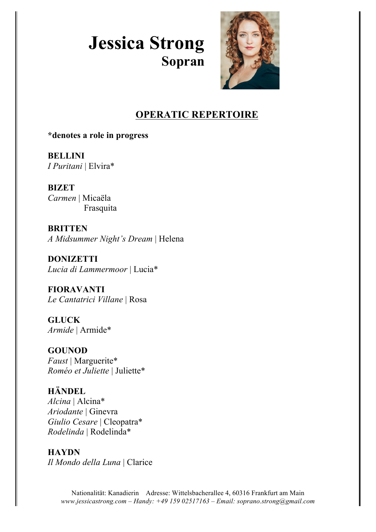# **Jessica Strong Sopran**



## **OPERATIC REPERTOIRE**

**\*denotes a role in progress**

**BELLINI** *I Puritani* | Elvira\*

**BIZET** *Carmen* | Micaëla Frasquita

**BRITTEN** *A Midsummer Night's Dream* | Helena

**DONIZETTI** *Lucia di Lammermoor* | Lucia\*

**FIORAVANTI** *Le Cantatrici Villane* | Rosa

**GLUCK** *Armide* | Armide\*

**GOUNOD** *Faust* | Marguerite\* *Roméo et Juliette* | Juliette\*

**HÄNDEL** *Alcina* | Alcina\* *Ariodante* | Ginevra *Giulio Cesare* | Cleopatra\* *Rodelinda* | Rodelinda\*

**HAYDN** *Il Mondo della Luna* | Clarice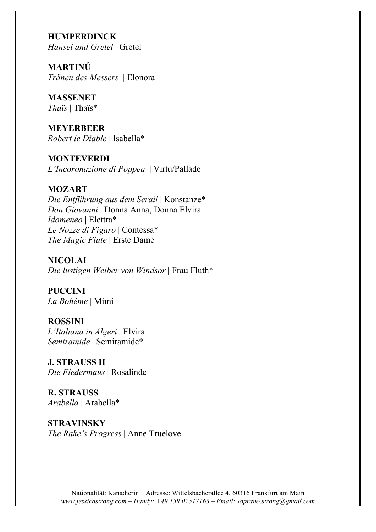**HUMPERDINCK** *Hansel and Gretel* | Gretel

**MARTINŮ** *Tränen des Messers* | Elonora

**MASSENET**  *Thaïs* | Thaïs\*

**MEYERBEER** *Robert le Diable* | Isabella\*

**MONTEVERDI** *L'Incoronazione di Poppea* | Virtù/Pallade

## **MOZART**

*Die Entführung aus dem Serail* | Konstanze\* *Don Giovanni* | Donna Anna, Donna Elvira *Idomeneo* | Elettra\* *Le Nozze di Figaro* | Contessa\* *The Magic Flute* | Erste Dame

**NICOLAI** *Die lustigen Weiber von Windsor* | Frau Fluth\*

**PUCCINI** *La Bohème* | Mimi

**ROSSINI** *L'Italiana in Algeri* | Elvira *Semiramide* | Semiramide\*

**J. STRAUSS II** *Die Fledermaus* | Rosalinde

**R. STRAUSS** *Arabella* | Arabella\*

**STRAVINSKY** *The Rake's Progress* | Anne Truelove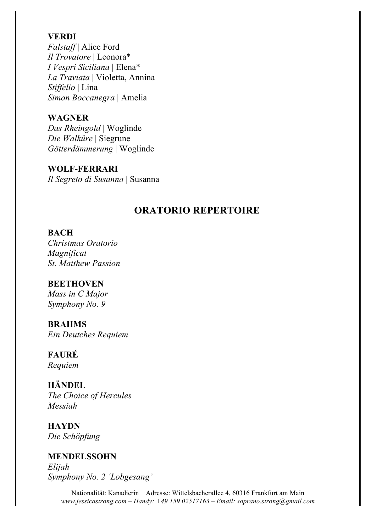#### **VERDI**

*Falstaff* | Alice Ford *Il Trovatore* | Leonora\* *I Vespri Siciliana* | Elena\* *La Traviata* | Violetta, Annina *Stiffelio* | Lina *Simon Boccanegra* | Amelia

#### **WAGNER**

*Das Rheingold* | Woglinde *Die Walküre* | Siegrune *Götterdämmerung* | Woglinde

**WOLF-FERRARI** *Il Segreto di Susanna* | Susanna

## **ORATORIO REPERTOIRE**

#### **BACH**

*Christmas Oratorio Magnificat St. Matthew Passion*

## **BEETHOVEN**

*Mass in C Major Symphony No. 9*

#### **BRAHMS**

*Ein Deutches Requiem*

#### **FAURÉ**

*Requiem*

## **HÄNDEL**

*The Choice of Hercules Messiah*

**HAYDN** *Die Schöpfung*

**MENDELSSOHN** *Elijah Symphony No. 2 'Lobgesang'*

> Nationalität: Kanadierin Adresse: Wittelsbacherallee 4, 60316 Frankfurt am Main *www.jessicastrong.com – Handy: +49 159 02517163 – Email: soprano.strong@gmail.com*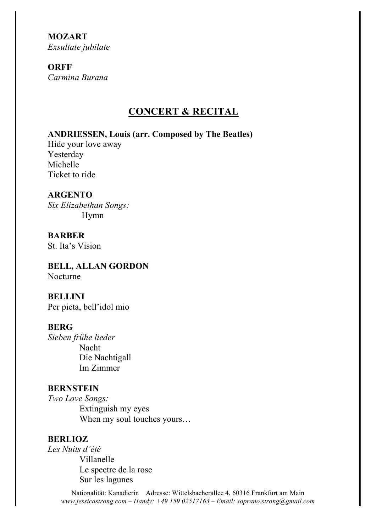**MOZART** *Exsultate jubilate*

## **ORFF**

*Carmina Burana*

## **CONCERT & RECITAL**

## **ANDRIESSEN, Louis (arr. Composed by The Beatles)**

Hide your love away Yesterday Michelle Ticket to ride

## **ARGENTO**

*Six Elizabethan Songs:* Hymn

**BARBER** St. Ita's Vision

**BELL, ALLAN GORDON** Nocturne

**BELLINI** Per pieta, bell'idol mio

## **BERG**

*Sieben frühe lieder* Nacht Die Nachtigall Im Zimmer

#### **BERNSTEIN**

*Two Love Songs:* Extinguish my eyes When my soul touches yours…

## **BERLIOZ**

*Les Nuits d'été* Villanelle Le spectre de la rose Sur les lagunes

> Nationalität: Kanadierin Adresse: Wittelsbacherallee 4, 60316 Frankfurt am Main *www.jessicastrong.com – Handy: +49 159 02517163 – Email: soprano.strong@gmail.com*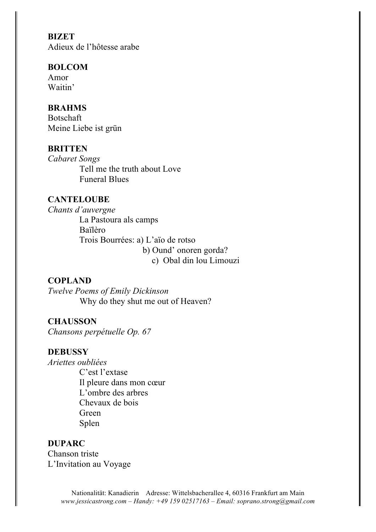**BIZET** Adieux de l'hôtesse arabe

#### **BOLCOM**

Amor Waitin'

## **BRAHMS**

Botschaft Meine Liebe ist grün

#### **BRITTEN**

*Cabaret Songs* Tell me the truth about Love Funeral Blues

## **CANTELOUBE**

*Chants d'auvergne* La Pastoura als camps Baïlèro Trois Bourrées: a) L'aïo de rotso b) Ound' onoren gorda? c) Obal din lou Limouzi

#### **COPLAND**

*Twelve Poems of Emily Dickinson* Why do they shut me out of Heaven?

## **CHAUSSON**

*Chansons perpétuelle Op. 67*

## **DEBUSSY**

*Ariettes oubliées*

C'est l'extase Il pleure dans mon cœur L'ombre des arbres Chevaux de bois Green Splen

#### **DUPARC**

Chanson triste L'Invitation au Voyage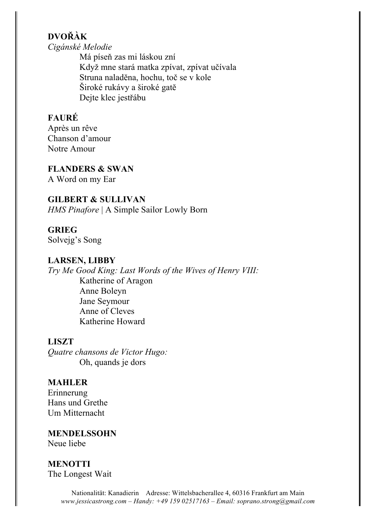## **DVOŘÀK**

*Cigánské Melodie*

Má píseň zas mi láskou zní Když mne stará matka zpívat, zpívat učívala Struna naladĕna, hochu, toč se v kole Široké rukávy a široké gatĕ Dejte klec jestřábu

## **FAURÉ**

Après un rêve Chanson d'amour Notre Amour

#### **FLANDERS & SWAN**

A Word on my Ear

## **GILBERT & SULLIVAN**

*HMS Pinafore* | A Simple Sailor Lowly Born

## **GRIEG**

Solvejg's Song

## **LARSEN, LIBBY**

*Try Me Good King: Last Words of the Wives of Henry VIII:* Katherine of Aragon Anne Boleyn Jane Seymour Anne of Cleves Katherine Howard

## **LISZT**

*Quatre chansons de Victor Hugo:* Oh, quands je dors

## **MAHLER**

Erinnerung Hans und Grethe Um Mitternacht

**MENDELSSOHN** Neue liebe

## **MENOTTI** The Longest Wait

Nationalität: Kanadierin Adresse: Wittelsbacherallee 4, 60316 Frankfurt am Main *www.jessicastrong.com – Handy: +49 159 02517163 – Email: soprano.strong@gmail.com*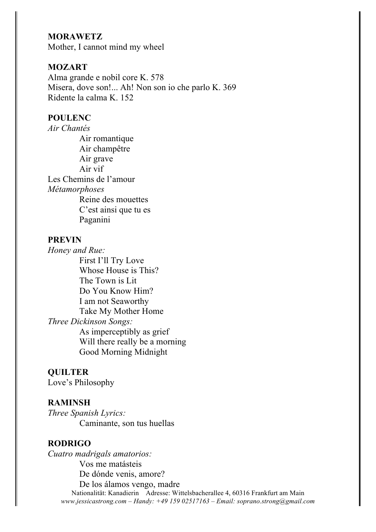#### **MORAWETZ**

Mother, I cannot mind my wheel

#### **MOZART**

Alma grande e nobil core K. 578 Misera, dove son!... Ah! Non son io che parlo K. 369 Ridente la calma K. 152

#### **POULENC**

*Air Chantés* Air romantique Air champêtre Air grave Air vif Les Chemins de l'amour *Métamorphoses* Reine des mouettes C'est ainsi que tu es Paganini

#### **PREVIN**

*Honey and Rue:* First I'll Try Love Whose House is This? The Town is Lit Do You Know Him? I am not Seaworthy Take My Mother Home *Three Dickinson Songs:* As imperceptibly as grief Will there really be a morning Good Morning Midnight

#### **QUILTER**

Love's Philosophy

#### **RAMINSH**

*Three Spanish Lyrics:* Caminante, son tus huellas

#### **RODRIGO**

Nationalität: Kanadierin Adresse: Wittelsbacherallee 4, 60316 Frankfurt am Main *www.jessicastrong.com – Handy: +49 159 02517163 – Email: soprano.strong@gmail.com Cuatro madrigals amatorios:* Vos me matásteis De dónde venis, amore? De los álamos vengo, madre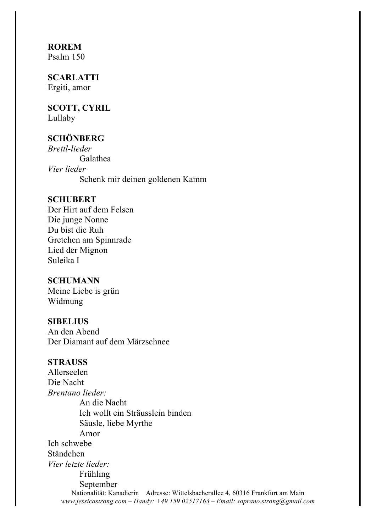# **ROREM**

Psalm 150

#### **SCARLATTI** Ergiti, amor

# **SCOTT, CYRIL**

Lullaby

## **SCHÖNBERG**

*Brettl-lieder* Galathea *Vier lieder* Schenk mir deinen goldenen Kamm

#### **SCHUBERT**

Der Hirt auf dem Felsen Die junge Nonne Du bist die Ruh Gretchen am Spinnrade Lied der Mignon Suleika I

#### **SCHUMANN**

Meine Liebe is grün Widmung

#### **SIBELIUS**

An den Abend Der Diamant auf dem Märzschnee

#### **STRAUSS**

Nationalität: Kanadierin Adresse: Wittelsbacherallee 4, 60316 Frankfurt am Main *www.jessicastrong.com – Handy: +49 159 02517163 – Email: soprano.strong@gmail.com* Allerseelen Die Nacht *Brentano lieder:* An die Nacht Ich wollt ein Sträusslein binden Säusle, liebe Myrthe Amor Ich schwebe Ständchen *Vier letzte lieder:* Frühling September